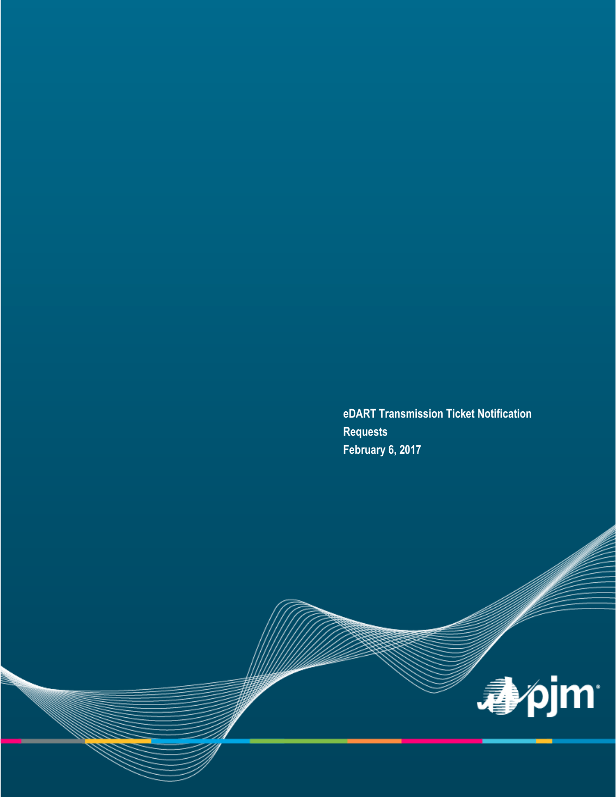**eDART Transmission Ticket Notification Requests February 6, 2017**

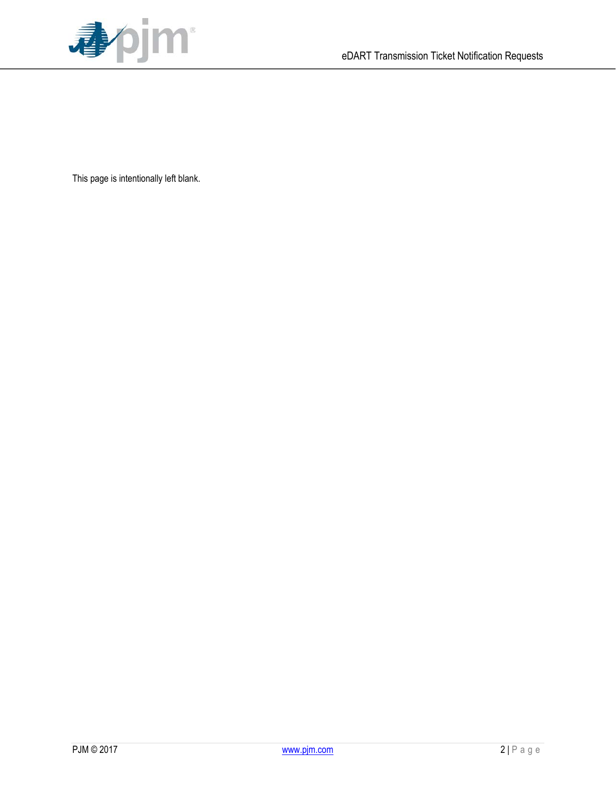

This page is intentionally left blank.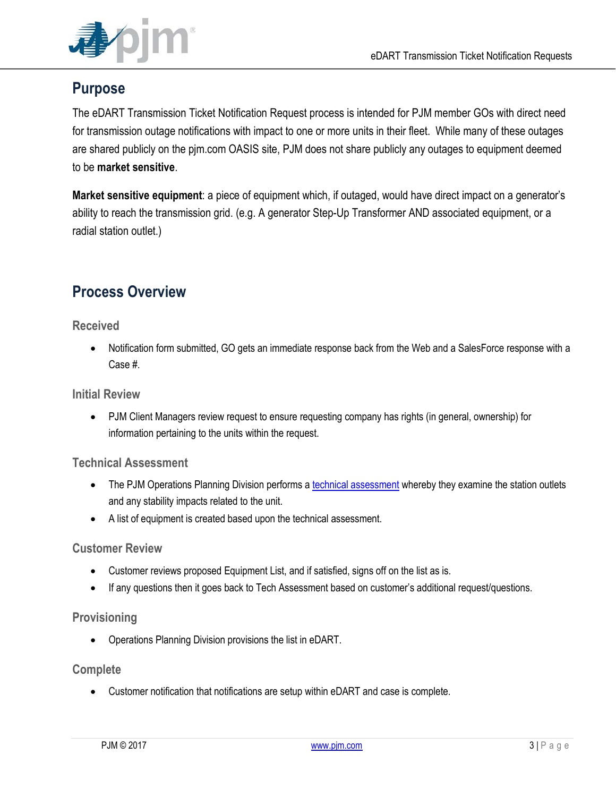

### **Purpose**

The eDART Transmission Ticket Notification Request process is intended for PJM member GOs with direct need for transmission outage notifications with impact to one or more units in their fleet. While many of these outages are shared publicly on the pjm.com OASIS site, PJM does not share publicly any outages to equipment deemed to be **market sensitive**.

**Market sensitive equipment**: a piece of equipment which, if outaged, would have direct impact on a generator's ability to reach the transmission grid. (e.g. A generator Step-Up Transformer AND associated equipment, or a radial station outlet.)

## **Process Overview**

#### **Received**

• Notification form submitted, GO gets an immediate response back from the Web and a SalesForce response with a Case #.

#### **Initial Review**

• PJM Client Managers review request to ensure requesting company has rights (in general, ownership) for information pertaining to the units within the request.

#### **Technical Assessment**

- The PJM Operations Planning Division performs [a technical assessment](#page-4-0) whereby they examine the station outlets and any stability impacts related to the unit.
- A list of equipment is created based upon the technical assessment.

#### **Customer Review**

- Customer reviews proposed Equipment List, and if satisfied, signs off on the list as is.
- If any questions then it goes back to Tech Assessment based on customer's additional request/questions.

#### **Provisioning**

• Operations Planning Division provisions the list in eDART.

#### **Complete**

• Customer notification that notifications are setup within eDART and case is complete.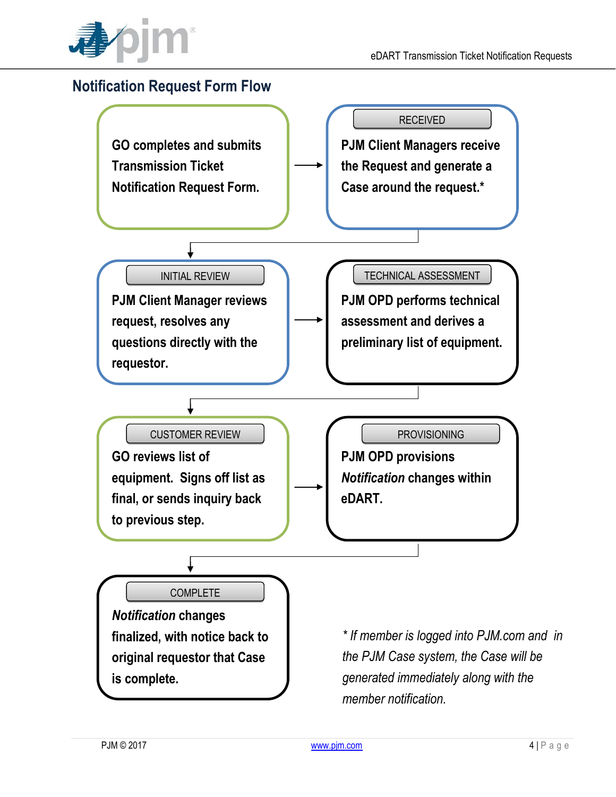





*member notification.*